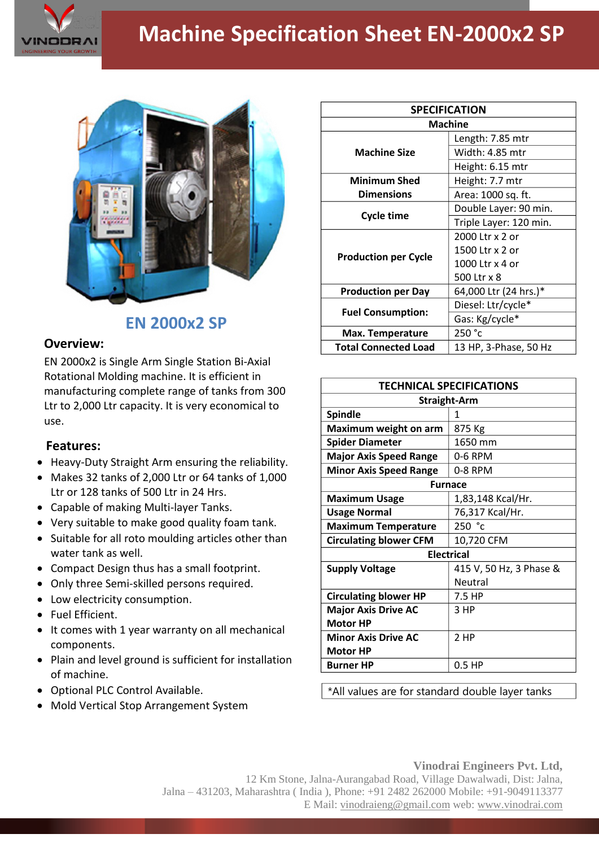

## **Machine Specification Sheet EN-2000x2 SP**



**EN 2000x2 SP**

## **Overview:**

EN 2000x2 is Single Arm Single Station Bi-Axial Rotational Molding machine. It is efficient in manufacturing complete range of tanks from 300 Ltr to 2,000 Ltr capacity. It is very economical to use.

## **Features:**

- Heavy-Duty Straight Arm ensuring the reliability.
- Makes 32 tanks of 2,000 Ltr or 64 tanks of 1,000 Ltr or 128 tanks of 500 Ltr in 24 Hrs.
- Capable of making Multi-layer Tanks.
- Very suitable to make good quality foam tank.
- Suitable for all roto moulding articles other than water tank as well.
- Compact Design thus has a small footprint.
- Only three Semi-skilled persons required.
- Low electricity consumption.
- Fuel Efficient.
- It comes with 1 year warranty on all mechanical components.
- Plain and level ground is sufficient for installation of machine.
- Optional PLC Control Available.
- Mold Vertical Stop Arrangement System

| <b>SPECIFICATION</b>        |                        |
|-----------------------------|------------------------|
| <b>Machine</b>              |                        |
| <b>Machine Size</b>         | Length: 7.85 mtr       |
|                             | Width: 4.85 mtr        |
|                             | Height: 6.15 mtr       |
| <b>Minimum Shed</b>         | Height: 7.7 mtr        |
| <b>Dimensions</b>           | Area: 1000 sq. ft.     |
| <b>Cycle time</b>           | Double Layer: 90 min.  |
|                             | Triple Layer: 120 min. |
| <b>Production per Cycle</b> | 2000 Ltr x 2 or        |
|                             | 1500 Ltr x 2 or        |
|                             | 1000 Ltr x 4 or        |
|                             | 500 Ltr x 8            |
| <b>Production per Day</b>   | 64,000 Ltr (24 hrs.)*  |
| <b>Fuel Consumption:</b>    | Diesel: Ltr/cycle*     |
|                             | Gas: Kg/cycle*         |
| <b>Max. Temperature</b>     | 250 °c                 |
| <b>Total Connected Load</b> | 13 HP, 3-Phase, 50 Hz  |

| <b>TECHNICAL SPECIFICATIONS</b> |                         |
|---------------------------------|-------------------------|
| <b>Straight-Arm</b>             |                         |
| <b>Spindle</b>                  | 1                       |
| Maximum weight on arm           | 875 Kg                  |
| <b>Spider Diameter</b>          | 1650 mm                 |
| <b>Major Axis Speed Range</b>   | 0-6 RPM                 |
| <b>Minor Axis Speed Range</b>   | 0-8 RPM                 |
| <b>Furnace</b>                  |                         |
| <b>Maximum Usage</b>            | 1,83,148 Kcal/Hr.       |
| <b>Usage Normal</b>             | 76,317 Kcal/Hr.         |
| <b>Maximum Temperature</b>      | 250 °c                  |
| <b>Circulating blower CFM</b>   | 10,720 CFM              |
| <b>Electrical</b>               |                         |
| <b>Supply Voltage</b>           | 415 V, 50 Hz, 3 Phase & |
|                                 | Neutral                 |
| <b>Circulating blower HP</b>    | 7.5 HP                  |
| <b>Major Axis Drive AC</b>      | 3 HP                    |
| <b>Motor HP</b>                 |                         |
| <b>Minor Axis Drive AC</b>      | 2 HP                    |
| <b>Motor HP</b>                 |                         |
| <b>Burner HP</b>                | $0.5$ HP                |

\*All values are for standard double layer tanks

## **Vinodrai Engineers Pvt. Ltd,** 12 Km Stone, Jalna-Aurangabad Road, Village Dawalwadi, Dist: Jalna, Jalna – 431203, Maharashtra ( India ), Phone: +91 2482 262000 Mobile: +91-9049113377 E Mail: vinodraieng@gmail.com web: www.vinodrai.com